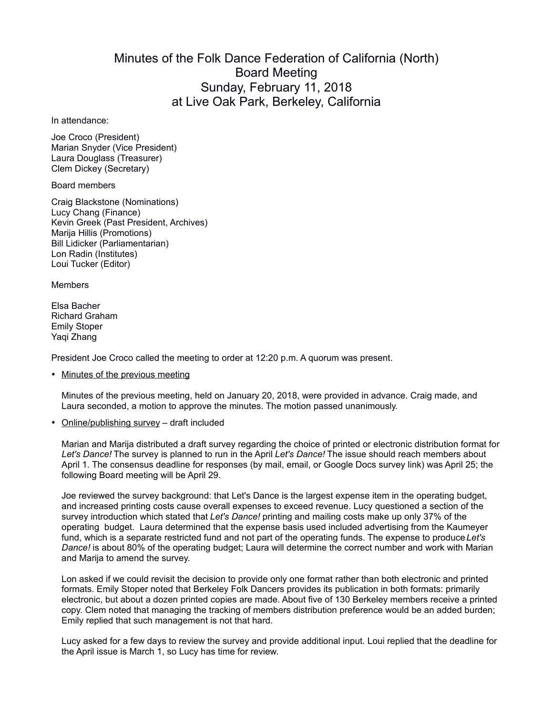## Minutes of the Folk Dance Federation of California (North) Board Meeting Sunday, February 11, 2018 at Live Oak Park, Berkeley, California

In attendance:

Joe Croco (President) Marian Snyder (Vice President) Laura Douglass (Treasurer) Clem Dickey (Secretary)

Board members

Craig Blackstone (Nominations) Lucy Chang (Finance) Kevin Greek (Past President, Archives) Marija Hillis (Promotions) Bill Lidicker (Parliamentarian) Lon Radin (Institutes) Loui Tucker (Editor)

Members

Elsa Bacher Richard Graham Emily Stoper Yaqi Zhang

President Joe Croco called the meeting to order at 12:20 p.m. A quorum was present.

• Minutes of the previous meeting

Minutes of the previous meeting, held on January 20, 2018, were provided in advance. Craig made, and Laura seconded, a motion to approve the minutes. The motion passed unanimously.

Online/publishing survey – draft included

Marian and Marija distributed a draft survey regarding the choice of printed or electronic distribution format for *Let's Dance!* The survey is planned to run in the April *Let's Dance!* The issue should reach members about April 1. The consensus deadline for responses (by mail, email, or Google Docs survey link) was April 25; the following Board meeting will be April 29.

Joe reviewed the survey background: that Let's Dance is the largest expense item in the operating budget, and increased printing costs cause overall expenses to exceed revenue. Lucy questioned a section of the survey introduction which stated that *Let's Dance!* printing and mailing costs make up only 37% of the operating budget. Laura determined that the expense basis used included advertising from the Kaumeyer fund, which is a separate restricted fund and not part of the operating funds. The expense to produce *Let's Dance!* is about 80% of the operating budget; Laura will determine the correct number and work with Marian and Marija to amend the survey.

Lon asked if we could revisit the decision to provide only one format rather than both electronic and printed formats. Emily Stoper noted that Berkeley Folk Dancers provides its publication in both formats: primarily electronic, but about a dozen printed copies are made. About five of 130 Berkeley members receive a printed copy. Clem noted that managing the tracking of members distribution preference would be an added burden; Emily replied that such management is not that hard.

Lucy asked for a few days to review the survey and provide additional input. Loui replied that the deadline for the April issue is March 1, so Lucy has time for review.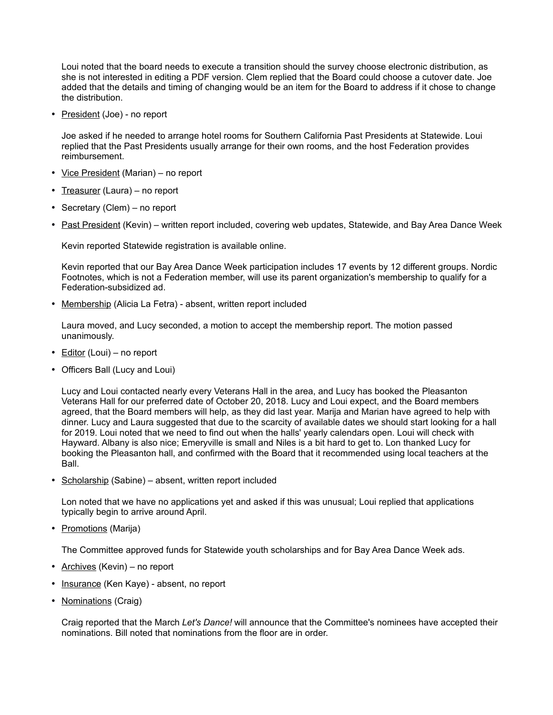Loui noted that the board needs to execute a transition should the survey choose electronic distribution, as she is not interested in editing a PDF version. Clem replied that the Board could choose a cutover date. Joe added that the details and timing of changing would be an item for the Board to address if it chose to change the distribution.

• President (Joe) - no report

Joe asked if he needed to arrange hotel rooms for Southern California Past Presidents at Statewide. Loui replied that the Past Presidents usually arrange for their own rooms, and the host Federation provides reimbursement.

- Vice President (Marian) no report
- Treasurer (Laura) no report
- Secretary (Clem) no report
- Past President (Kevin) written report included, covering web updates, Statewide, and Bay Area Dance Week

Kevin reported Statewide registration is available online.

Kevin reported that our Bay Area Dance Week participation includes 17 events by 12 different groups. Nordic Footnotes, which is not a Federation member, will use its parent organization's membership to qualify for a Federation-subsidized ad.

• Membership (Alicia La Fetra) - absent, written report included

Laura moved, and Lucy seconded, a motion to accept the membership report. The motion passed unanimously.

- Editor (Loui) no report
- Officers Ball (Lucy and Loui)

Lucy and Loui contacted nearly every Veterans Hall in the area, and Lucy has booked the Pleasanton Veterans Hall for our preferred date of October 20, 2018. Lucy and Loui expect, and the Board members agreed, that the Board members will help, as they did last year. Marija and Marian have agreed to help with dinner. Lucy and Laura suggested that due to the scarcity of available dates we should start looking for a hall for 2019. Loui noted that we need to find out when the halls' yearly calendars open. Loui will check with Hayward. Albany is also nice; Emeryville is small and Niles is a bit hard to get to. Lon thanked Lucy for booking the Pleasanton hall, and confirmed with the Board that it recommended using local teachers at the Ball.

• Scholarship (Sabine) – absent, written report included

Lon noted that we have no applications yet and asked if this was unusual; Loui replied that applications typically begin to arrive around April.

• Promotions (Marija)

The Committee approved funds for Statewide youth scholarships and for Bay Area Dance Week ads.

- Archives (Kevin) no report
- Insurance (Ken Kaye) absent, no report
- Nominations (Craig)

Craig reported that the March *Let's Dance!* will announce that the Committee's nominees have accepted their nominations. Bill noted that nominations from the floor are in order.